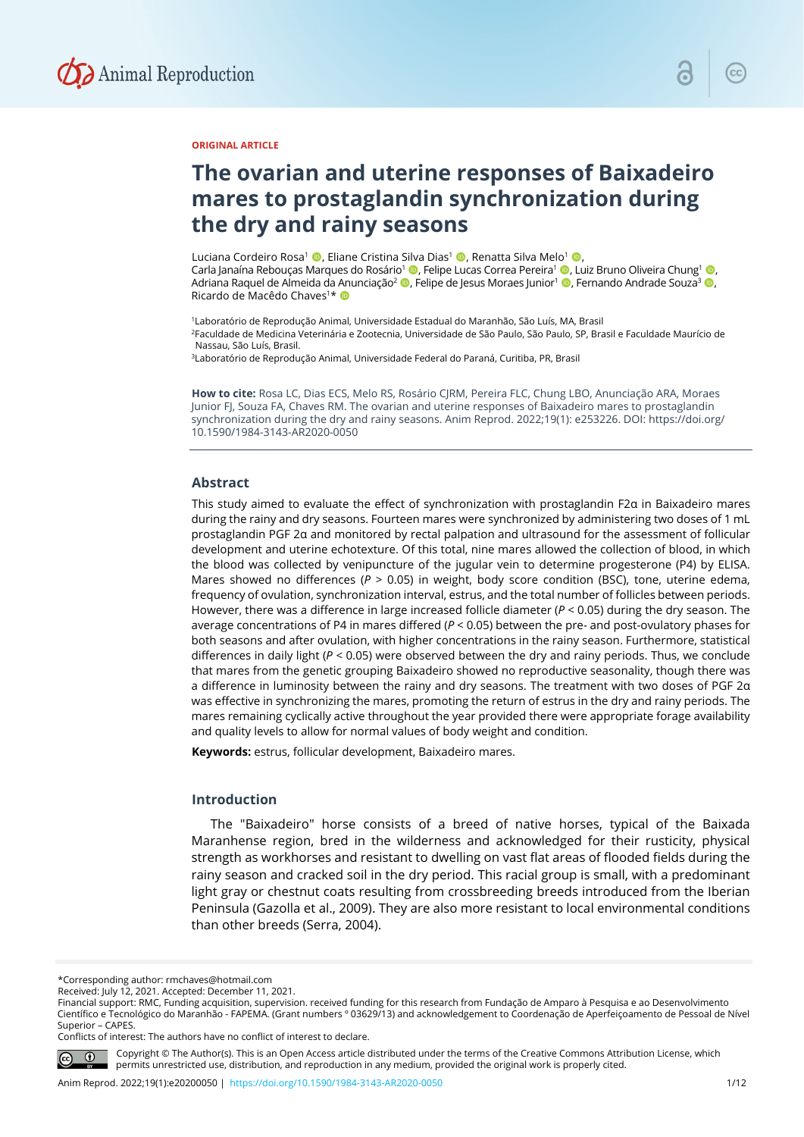

# **ORIGINAL ARTICLE**

# **The ovarian and uterine responses of Baixadeiro mares to prostaglandin synchronization during the dry and rainy seasons**

Luciana Cordeiro Rosa<sup>1</sup> (D. Eliane Cristina Silva Dias<sup>1</sup> (D. Renatta Silva Melo<sup>1</sup> (D. Carla Janaína Rebouças Marques do Rosário<sup>1</sup> , Felipe Lucas Correa Pereira<sup>1</sup> , Luiz Bruno Oliveira Chung<sup>1</sup> , Adriana Raquel de Almeida da Anunciação<sup>2</sup> (D, Felipe de Jesus Moraes Junior<sup>1</sup> (D, Fernando Andrade Souza<sup>3</sup> (D, Ricardo de Macêdo Chaves<sup>1\*</sup>

1Laboratório de Reprodução Animal, Universidade Estadual do Maranhão, São Luís, MA, Brasil 2Faculdade de Medicina Veterinária e Zootecnia, Universidade de São Paulo, São Paulo, SP, Brasil e Faculdade Maurício de Nassau, São Luís, Brasil.

3Laboratório de Reprodução Animal, Universidade Federal do Paraná, Curitiba, PR, Brasil

**How to cite:** Rosa LC, Dias ECS, Melo RS, Rosário CJRM, Pereira FLC, Chung LBO, Anunciação ARA, Moraes Junior FJ, Souza FA, Chaves RM. The ovarian and uterine responses of Baixadeiro mares to prostaglandin synchronization during the dry and rainy seasons. Anim Reprod. 2022;19(1): e253226. DOI: https://doi.org/ 10.1590/1984-3143-AR2020-0050

#### **Abstract**

This study aimed to evaluate the effect of synchronization with prostaglandin F2α in Baixadeiro mares during the rainy and dry seasons. Fourteen mares were synchronized by administering two doses of 1 mL prostaglandin PGF 2α and monitored by rectal palpation and ultrasound for the assessment of follicular development and uterine echotexture. Of this total, nine mares allowed the collection of blood, in which the blood was collected by venipuncture of the jugular vein to determine progesterone (P4) by ELISA. Mares showed no differences ( $P > 0.05$ ) in weight, body score condition (BSC), tone, uterine edema, frequency of ovulation, synchronization interval, estrus, and the total number of follicles between periods. However, there was a difference in large increased follicle diameter (*P* < 0.05) during the dry season. The average concentrations of P4 in mares differed (*P* < 0.05) between the pre- and post-ovulatory phases for both seasons and after ovulation, with higher concentrations in the rainy season. Furthermore, statistical differences in daily light (*P* < 0.05) were observed between the dry and rainy periods. Thus, we conclude that mares from the genetic grouping Baixadeiro showed no reproductive seasonality, though there was a difference in luminosity between the rainy and dry seasons. The treatment with two doses of PGF 2α was effective in synchronizing the mares, promoting the return of estrus in the dry and rainy periods. The mares remaining cyclically active throughout the year provided there were appropriate forage availability and quality levels to allow for normal values of body weight and condition.

**Keywords:** estrus, follicular development, Baixadeiro mares.

# **Introduction**

The "Baixadeiro" horse consists of a breed of native horses, typical of the Baixada Maranhense region, bred in the wilderness and acknowledged for their rusticity, physical strength as workhorses and resistant to dwelling on vast flat areas of flooded fields during the rainy season and cracked soil in the dry period. This racial group is small, with a predominant light gray or chestnut coats resulting from crossbreeding breeds introduced from the Iberian Peninsula (Gazolla et al., 2009). They are also more resistant to local environmental conditions than other breeds (Serra, 2004).

\*Corresponding author: rmchaves@hotmail.com

Financial support: RMC, Funding acquisition, supervision. received funding for this research from Fundação de Amparo à Pesquisa e ao Desenvolvimento Científico e Tecnológico do Maranhão - FAPEMA. (Grant numbers º 03629/13) and acknowledgement to Coordenação de Aperfeiçoamento de Pessoal de Nível Superior – CAPES.

Conflicts of interest: The authors have no conflict of interest to declare.



Copyright © The Author(s). This is an Open Access article distributed under the terms of the Creative Commons Attribution License, which permits unrestricted use, distribution, and reproduction in any medium, provided the original work is properly cited.

Received: July 12, 2021. Accepted: December 11, 2021.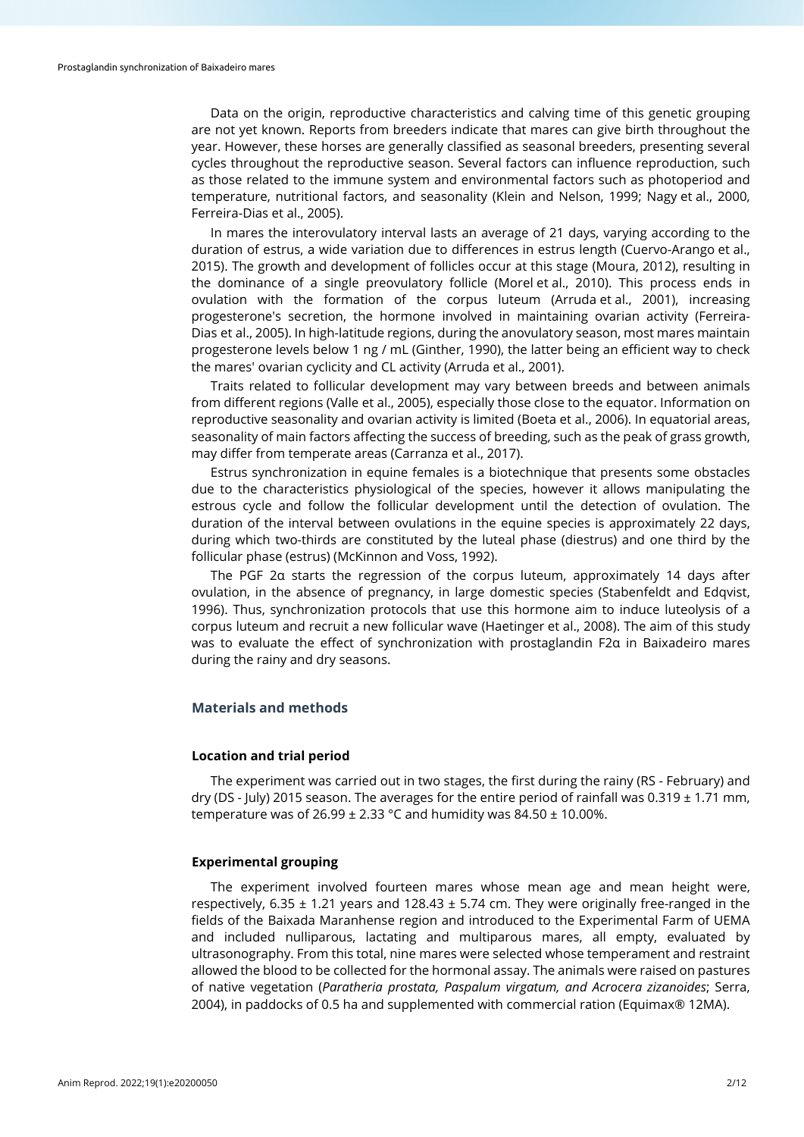Data on the origin, reproductive characteristics and calving time of this genetic grouping are not yet known. Reports from breeders indicate that mares can give birth throughout the year. However, these horses are generally classified as seasonal breeders, presenting several cycles throughout the reproductive season. Several factors can influence reproduction, such as those related to the immune system and environmental factors such as photoperiod and temperature, nutritional factors, and seasonality (Klein and Nelson, 1999; Nagy et al., 2000, Ferreira-Dias et al., 2005).

In mares the interovulatory interval lasts an average of 21 days, varying according to the duration of estrus, a wide variation due to differences in estrus length (Cuervo-Arango et al., 2015). The growth and development of follicles occur at this stage (Moura, 2012), resulting in the dominance of a single preovulatory follicle (Morel et al., 2010). This process ends in ovulation with the formation of the corpus luteum (Arruda et al., 2001), increasing progesterone's secretion, the hormone involved in maintaining ovarian activity (Ferreira-Dias et al., 2005). In high-latitude regions, during the anovulatory season, most mares maintain progesterone levels below 1 ng / mL (Ginther, 1990), the latter being an efficient way to check the mares' ovarian cyclicity and CL activity (Arruda et al., 2001).

Traits related to follicular development may vary between breeds and between animals from different regions (Valle et al., 2005), especially those close to the equator. Information on reproductive seasonality and ovarian activity is limited (Boeta et al., 2006). In equatorial areas, seasonality of main factors affecting the success of breeding, such as the peak of grass growth, may differ from temperate areas (Carranza et al., 2017).

Estrus synchronization in equine females is a biotechnique that presents some obstacles due to the characteristics physiological of the species, however it allows manipulating the estrous cycle and follow the follicular development until the detection of ovulation. The duration of the interval between ovulations in the equine species is approximately 22 days, during which two-thirds are constituted by the luteal phase (diestrus) and one third by the follicular phase (estrus) (McKinnon and Voss, 1992).

The PGF 2α starts the regression of the corpus luteum, approximately 14 days after ovulation, in the absence of pregnancy, in large domestic species (Stabenfeldt and Edqvist, 1996). Thus, synchronization protocols that use this hormone aim to induce luteolysis of a corpus luteum and recruit a new follicular wave (Haetinger et al., 2008). The aim of this study was to evaluate the effect of synchronization with prostaglandin F2α in Baixadeiro mares during the rainy and dry seasons.

# **Materials and methods**

#### **Location and trial period**

The experiment was carried out in two stages, the first during the rainy (RS - February) and dry (DS - July) 2015 season. The averages for the entire period of rainfall was 0.319  $\pm$  1.71 mm, temperature was of  $26.99 \pm 2.33$  °C and humidity was  $84.50 \pm 10.00\%$ .

# **Experimental grouping**

The experiment involved fourteen mares whose mean age and mean height were, respectively, 6.35  $\pm$  1.21 years and 128.43  $\pm$  5.74 cm. They were originally free-ranged in the fields of the Baixada Maranhense region and introduced to the Experimental Farm of UEMA and included nulliparous, lactating and multiparous mares, all empty, evaluated by ultrasonography. From this total, nine mares were selected whose temperament and restraint allowed the blood to be collected for the hormonal assay. The animals were raised on pastures of native vegetation (*Paratheria prostata, Paspalum virgatum, and Acrocera zizanoides*; Serra, 2004), in paddocks of 0.5 ha and supplemented with commercial ration (Equimax® 12MA).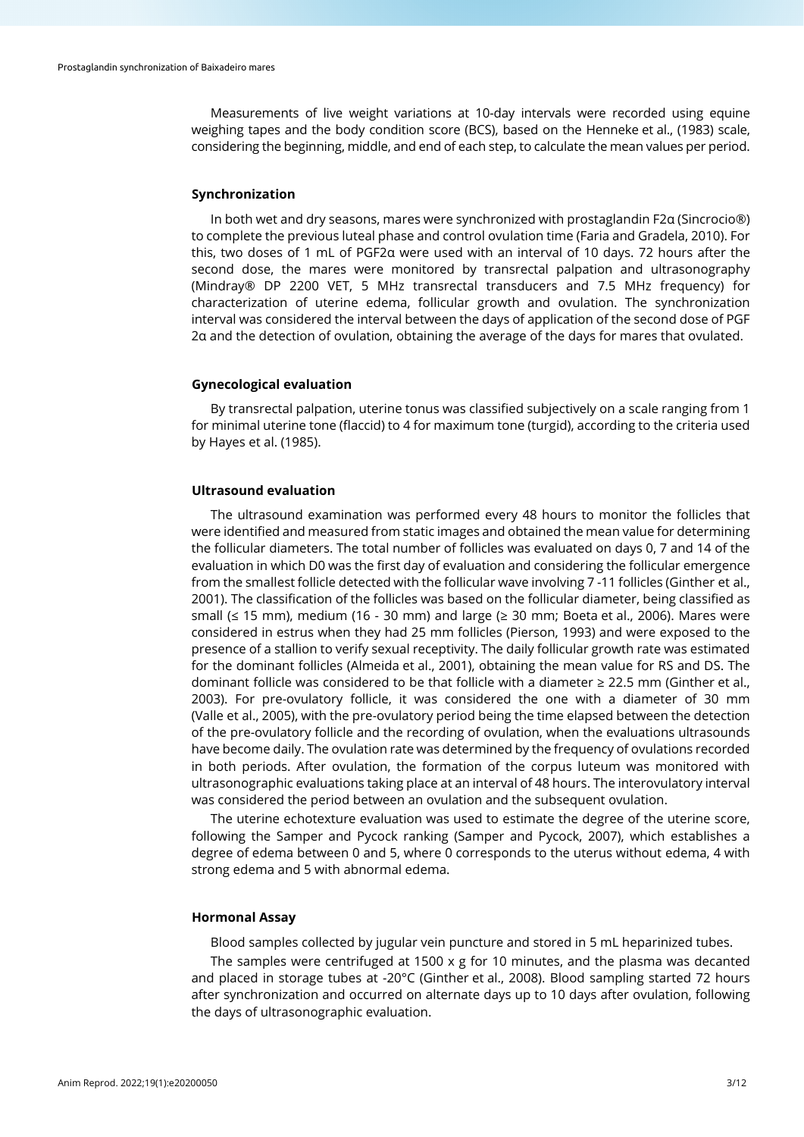Measurements of live weight variations at 10-day intervals were recorded using equine weighing tapes and the body condition score (BCS), based on the Henneke et al., (1983) scale, considering the beginning, middle, and end of each step, to calculate the mean values per period.

#### **Synchronization**

In both wet and dry seasons, mares were synchronized with prostaglandin F2α (Sincrocio®) to complete the previous luteal phase and control ovulation time (Faria and Gradela, 2010). For this, two doses of 1 mL of PGF2α were used with an interval of 10 days. 72 hours after the second dose, the mares were monitored by transrectal palpation and ultrasonography (Mindray® DP 2200 VET, 5 MHz transrectal transducers and 7.5 MHz frequency) for characterization of uterine edema, follicular growth and ovulation. The synchronization interval was considered the interval between the days of application of the second dose of PGF 2α and the detection of ovulation, obtaining the average of the days for mares that ovulated.

# **Gynecological evaluation**

By transrectal palpation, uterine tonus was classified subjectively on a scale ranging from 1 for minimal uterine tone (flaccid) to 4 for maximum tone (turgid), according to the criteria used by Hayes et al. (1985).

# **Ultrasound evaluation**

The ultrasound examination was performed every 48 hours to monitor the follicles that were identified and measured from static images and obtained the mean value for determining the follicular diameters. The total number of follicles was evaluated on days 0, 7 and 14 of the evaluation in which D0 was the first day of evaluation and considering the follicular emergence from the smallest follicle detected with the follicular wave involving 7 -11 follicles (Ginther et al., 2001). The classification of the follicles was based on the follicular diameter, being classified as small (≤ 15 mm), medium (16 - 30 mm) and large (≥ 30 mm; Boeta et al., 2006). Mares were considered in estrus when they had 25 mm follicles (Pierson, 1993) and were exposed to the presence of a stallion to verify sexual receptivity. The daily follicular growth rate was estimated for the dominant follicles (Almeida et al., 2001), obtaining the mean value for RS and DS. The dominant follicle was considered to be that follicle with a diameter ≥ 22.5 mm (Ginther et al., 2003). For pre-ovulatory follicle, it was considered the one with a diameter of 30 mm (Valle et al., 2005), with the pre-ovulatory period being the time elapsed between the detection of the pre-ovulatory follicle and the recording of ovulation, when the evaluations ultrasounds have become daily. The ovulation rate was determined by the frequency of ovulations recorded in both periods. After ovulation, the formation of the corpus luteum was monitored with ultrasonographic evaluations taking place at an interval of 48 hours. The interovulatory interval was considered the period between an ovulation and the subsequent ovulation.

The uterine echotexture evaluation was used to estimate the degree of the uterine score, following the Samper and Pycock ranking (Samper and Pycock, 2007), which establishes a degree of edema between 0 and 5, where 0 corresponds to the uterus without edema, 4 with strong edema and 5 with abnormal edema.

### **Hormonal Assay**

Blood samples collected by jugular vein puncture and stored in 5 mL heparinized tubes.

The samples were centrifuged at 1500  $\times$  g for 10 minutes, and the plasma was decanted and placed in storage tubes at -20°C (Ginther et al., 2008). Blood sampling started 72 hours after synchronization and occurred on alternate days up to 10 days after ovulation, following the days of ultrasonographic evaluation.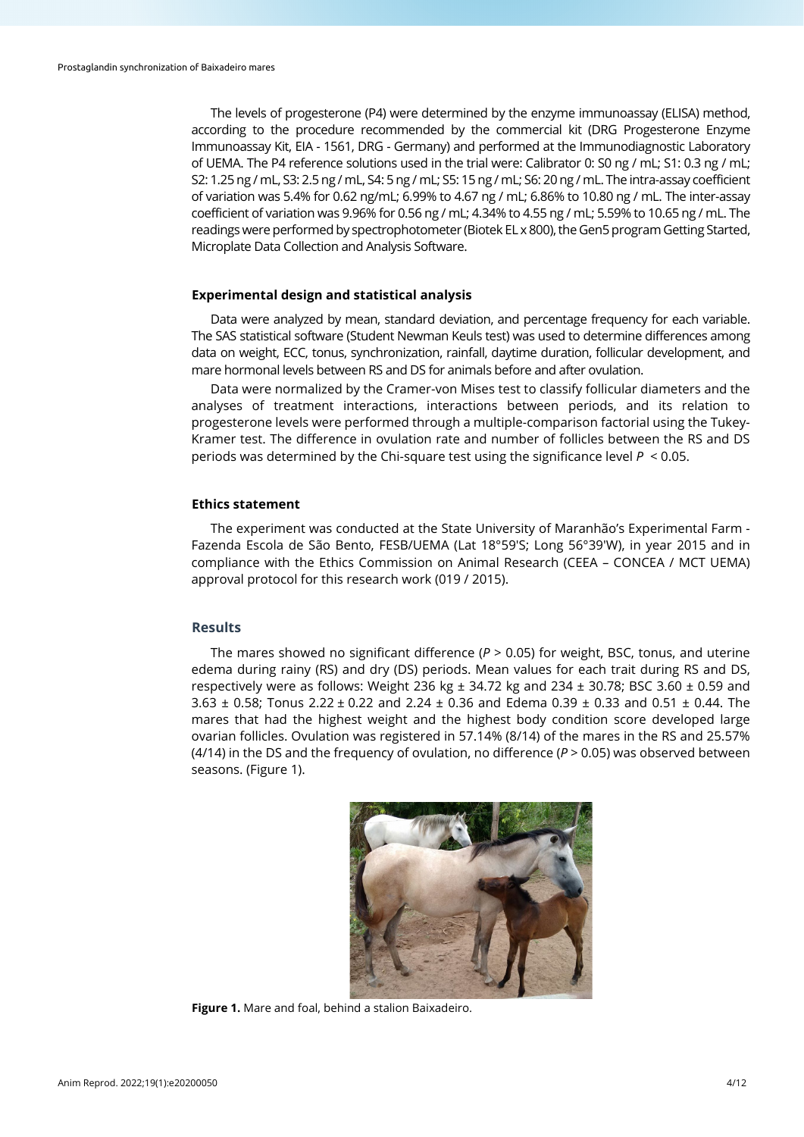The levels of progesterone (P4) were determined by the enzyme immunoassay (ELISA) method, according to the procedure recommended by the commercial kit (DRG Progesterone Enzyme Immunoassay Kit, EIA - 1561, DRG - Germany) and performed at the Immunodiagnostic Laboratory of UEMA. The P4 reference solutions used in the trial were: Calibrator 0: S0 ng / mL; S1: 0.3 ng / mL; S2: 1.25 ng / mL, S3: 2.5 ng / mL, S4: 5 ng / mL; S5: 15 ng / mL; S6: 20 ng / mL. The intra-assay coefficient of variation was 5.4% for 0.62 ng/mL; 6.99% to 4.67 ng / mL; 6.86% to 10.80 ng / mL. The inter-assay coefficient of variation was 9.96% for 0.56 ng / mL; 4.34% to 4.55 ng / mL; 5.59% to 10.65 ng / mL. The readings were performed by spectrophotometer (Biotek EL x 800), the Gen5 program Getting Started, Microplate Data Collection and Analysis Software.

# **Experimental design and statistical analysis**

Data were analyzed by mean, standard deviation, and percentage frequency for each variable. The SAS statistical software (Student Newman Keuls test) was used to determine differences among data on weight, ECC, tonus, synchronization, rainfall, daytime duration, follicular development, and mare hormonal levels between RS and DS for animals before and after ovulation.

Data were normalized by the Cramer-von Mises test to classify follicular diameters and the analyses of treatment interactions, interactions between periods, and its relation to progesterone levels were performed through a multiple-comparison factorial using the Tukey-Kramer test. The difference in ovulation rate and number of follicles between the RS and DS periods was determined by the Chi-square test using the significance level *P* < 0.05.

#### **Ethics statement**

The experiment was conducted at the State University of Maranhão's Experimental Farm - Fazenda Escola de São Bento, FESB/UEMA (Lat 18°59'S; Long 56°39'W), in year 2015 and in compliance with the Ethics Commission on Animal Research (CEEA – CONCEA / MCT UEMA) approval protocol for this research work (019 / 2015).

# **Results**

The mares showed no significant difference ( $P > 0.05$ ) for weight, BSC, tonus, and uterine edema during rainy (RS) and dry (DS) periods. Mean values for each trait during RS and DS, respectively were as follows: Weight 236 kg  $\pm$  34.72 kg and 234  $\pm$  30.78; BSC 3.60  $\pm$  0.59 and  $3.63 \pm 0.58$ ; Tonus 2.22  $\pm$  0.22 and 2.24  $\pm$  0.36 and Edema 0.39  $\pm$  0.33 and 0.51  $\pm$  0.44. The mares that had the highest weight and the highest body condition score developed large ovarian follicles. Ovulation was registered in 57.14% (8/14) of the mares in the RS and 25.57% (4/14) in the DS and the frequency of ovulation, no difference (*P* > 0.05) was observed between seasons. (Figure 1).



**Figure 1.** Mare and foal, behind a stalion Baixadeiro.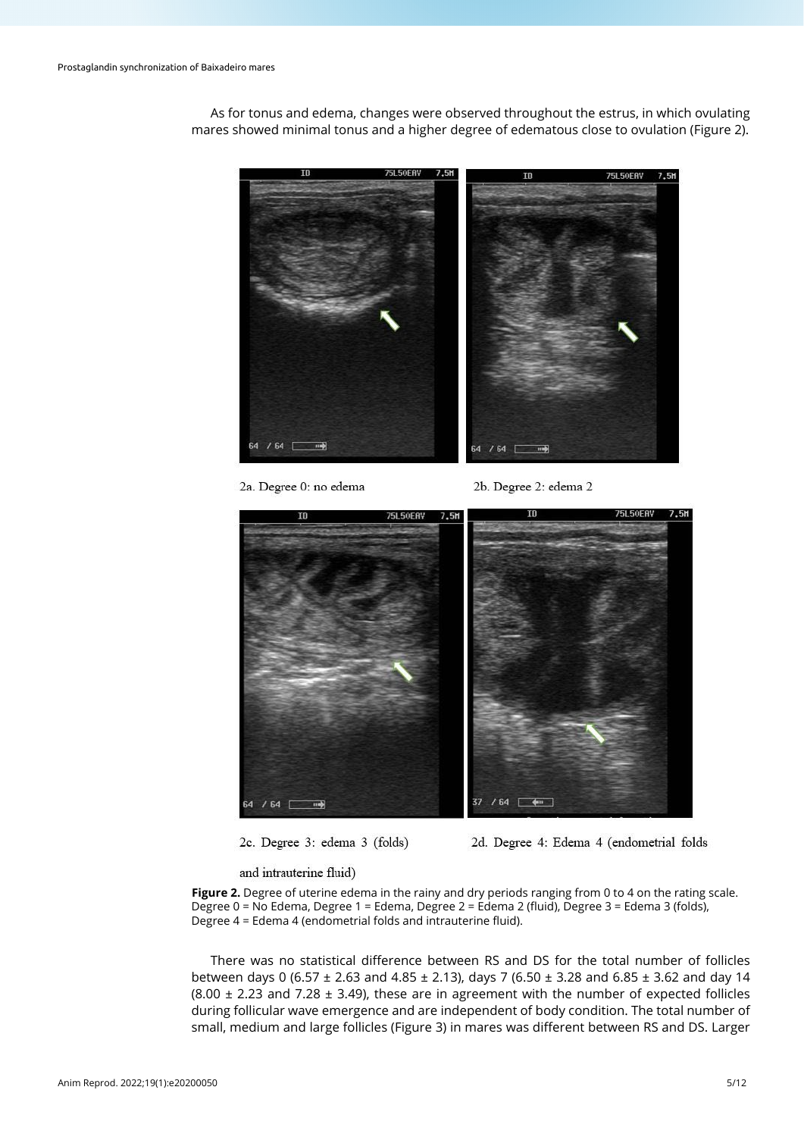

As for tonus and edema, changes were observed throughout the estrus, in which ovulating mares showed minimal tonus and a higher degree of edematous close to ovulation (Figure 2).

2a. Degree 0: no edema

2b. Degree 2: edema 2



2c. Degree 3: edema 3 (folds)

2d. Degree 4: Edema 4 (endometrial folds

and intrauterine fluid)

Figure 2. Degree of uterine edema in the rainy and dry periods ranging from 0 to 4 on the rating scale. Degree 0 = No Edema, Degree 1 = Edema, Degree 2 = Edema 2 (fluid), Degree 3 = Edema 3 (folds), Degree 4 = Edema 4 (endometrial folds and intrauterine fluid).

There was no statistical difference between RS and DS for the total number of follicles between days 0 (6.57 ± 2.63 and 4.85 ± 2.13), days 7 (6.50 ± 3.28 and 6.85 ± 3.62 and day 14  $(8.00 \pm 2.23$  and 7.28  $\pm$  3.49), these are in agreement with the number of expected follicles during follicular wave emergence and are independent of body condition. The total number of small, medium and large follicles (Figure 3) in mares was different between RS and DS. Larger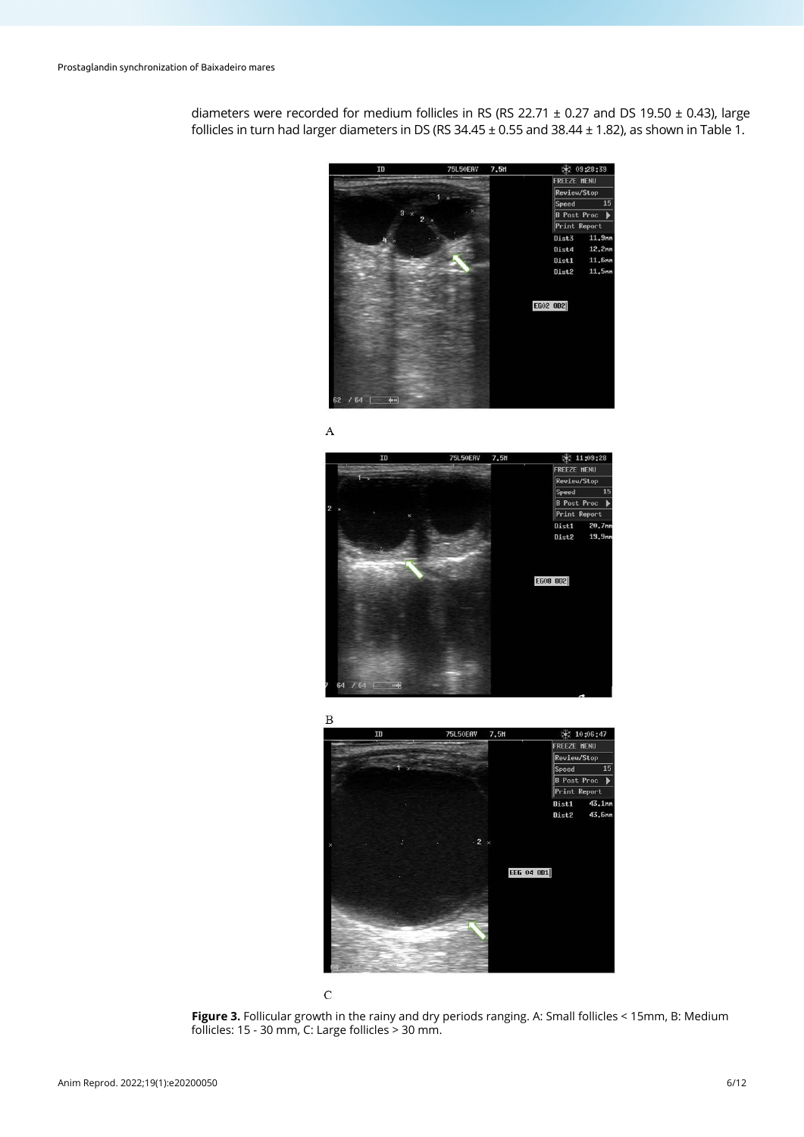diameters were recorded for medium follicles in RS (RS 22.71  $\pm$  0.27 and DS 19.50  $\pm$  0.43), large follicles in turn had larger diameters in DS (RS  $34.45 \pm 0.55$  and  $38.44 \pm 1.82$ ), as shown in Table 1.



 $\mathbf{A}$ 



₩ 10:06:47 75L50EA FREEZE HENU Review/Stop  $15$ Speed **B** Post Proc  $\overline{\phantom{a}}$ Print Repor .<br>Dist1  $43.1<sub>n</sub>$ Dist2 43.6m EEG 04 0D1



**Figure 3.** Follicular growth in the rainy and dry periods ranging. A: Small follicles < 15mm, B: Medium follicles: 15 - 30 mm, C: Large follicles > 30 mm.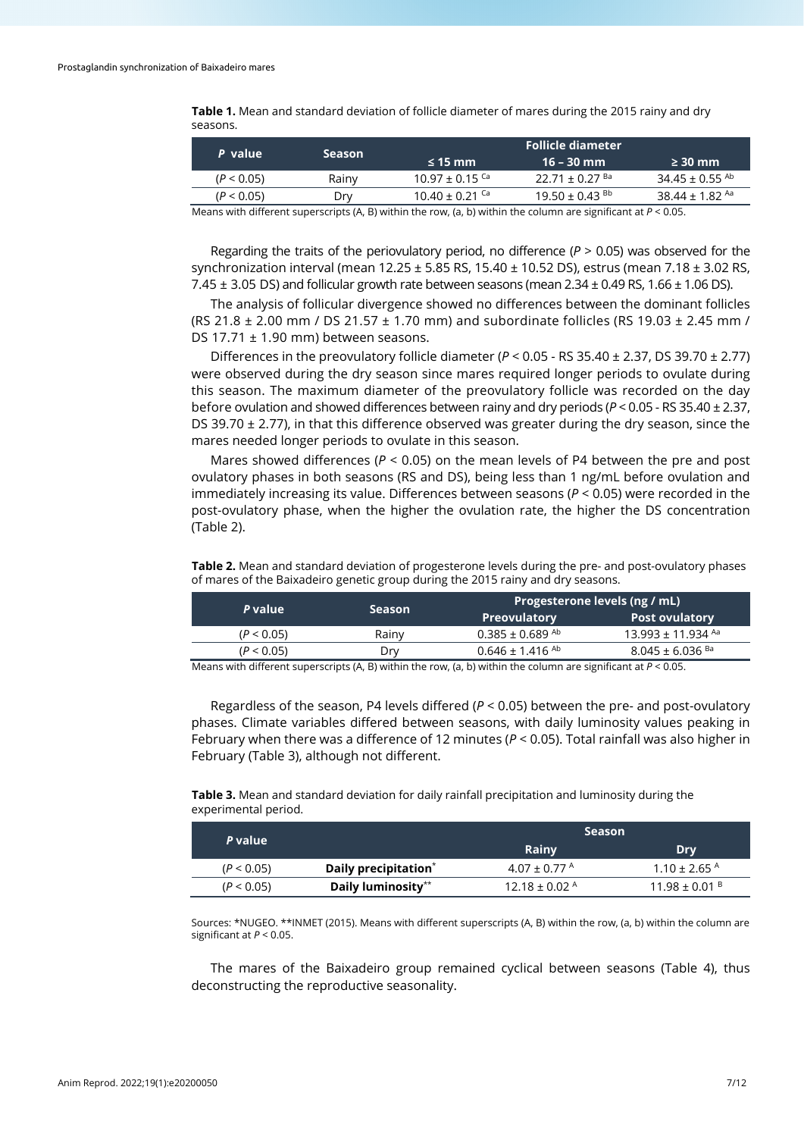**Table 1.** Mean and standard deviation of follicle diameter of mares during the 2015 rainy and dry seasons.

|       | <b>Follicle diameter</b> |                                |                                |  |
|-------|--------------------------|--------------------------------|--------------------------------|--|
|       | $\leq$ 15 mm             | 16 – 30 mm                     | $\geq$ 30 mm                   |  |
| Rainv | $10.97 \pm 0.15$ Ca      | 22.71 ± 0.27 $\text{Ba}$       | $34.45 \pm 0.55$ <sup>Ab</sup> |  |
| Drv   | $10.40 \pm 0.21$ Ca      | $19.50 \pm 0.43$ <sup>Bb</sup> | 38.44 ± 1.82 Aa                |  |
|       | <b>Season</b>            |                                |                                |  |

Means with different superscripts (A, B) within the row, (a, b) within the column are significant at *P* < 0.05.

Regarding the traits of the periovulatory period, no difference  $(P > 0.05)$  was observed for the synchronization interval (mean 12.25 ± 5.85 RS, 15.40 ± 10.52 DS), estrus (mean 7.18 ± 3.02 RS, 7.45 ± 3.05 DS) and follicular growth rate between seasons (mean 2.34 ± 0.49 RS, 1.66 ± 1.06 DS).

The analysis of follicular divergence showed no differences between the dominant follicles (RS 21.8  $\pm$  2.00 mm / DS 21.57  $\pm$  1.70 mm) and subordinate follicles (RS 19.03  $\pm$  2.45 mm / DS 17.71 ± 1.90 mm) between seasons.

Differences in the preovulatory follicle diameter (*P* < 0.05 - RS 35.40 ± 2.37, DS 39.70 ± 2.77) were observed during the dry season since mares required longer periods to ovulate during this season. The maximum diameter of the preovulatory follicle was recorded on the day before ovulation and showed differences between rainy and dry periods (*P* < 0.05 - RS 35.40 ± 2.37, DS 39.70  $\pm$  2.77), in that this difference observed was greater during the dry season, since the mares needed longer periods to ovulate in this season.

Mares showed differences ( $P < 0.05$ ) on the mean levels of P4 between the pre and post ovulatory phases in both seasons (RS and DS), being less than 1 ng/mL before ovulation and immediately increasing its value. Differences between seasons (*P* < 0.05) were recorded in the post-ovulatory phase, when the higher the ovulation rate, the higher the DS concentration (Table 2).

**Table 2.** Mean and standard deviation of progesterone levels during the pre- and post-ovulatory phases of mares of the Baixadeiro genetic group during the 2015 rainy and dry seasons.

|       | Progesterone levels (ng / mL)   |                                 |  |  |
|-------|---------------------------------|---------------------------------|--|--|
|       | <b>Preovulatory</b>             | <b>Post ovulatory</b>           |  |  |
| Rainv | $0.385 \pm 0.689$ <sup>Ab</sup> | 13.993 ± 11.934 Aa              |  |  |
| Drv   | $0.646 \pm 1.416$ <sup>Ab</sup> | $8.045 \pm 6.036$ <sup>Ba</sup> |  |  |
|       | <b>Season</b>                   |                                 |  |  |

Means with different superscripts (A, B) within the row, (a, b) within the column are significant at *P* < 0.05.

Regardless of the season, P4 levels differed (*P* < 0.05) between the pre- and post-ovulatory phases. Climate variables differed between seasons, with daily luminosity values peaking in February when there was a difference of 12 minutes (*P* < 0.05). Total rainfall was also higher in February (Table 3), although not different.

**Table 3.** Mean and standard deviation for daily rainfall precipitation and luminosity during the experimental period.

| P value    |                                  | <b>Season</b>                 |                               |  |
|------------|----------------------------------|-------------------------------|-------------------------------|--|
|            |                                  | Rainy                         | Drv                           |  |
| (P < 0.05) | Daily precipitation <sup>*</sup> | $4.07 \pm 0.77$ Å             | $1.10 \pm 2.65$ <sup>A</sup>  |  |
| (P < 0.05) | Daily luminosity**               | $12.18 \pm 0.02$ <sup>A</sup> | $11.98 \pm 0.01$ <sup>B</sup> |  |

Sources: \*NUGEO. \*\*INMET (2015). Means with different superscripts (A, B) within the row, (a, b) within the column are significant at *P* < 0.05.

The mares of the Baixadeiro group remained cyclical between seasons (Table 4), thus deconstructing the reproductive seasonality.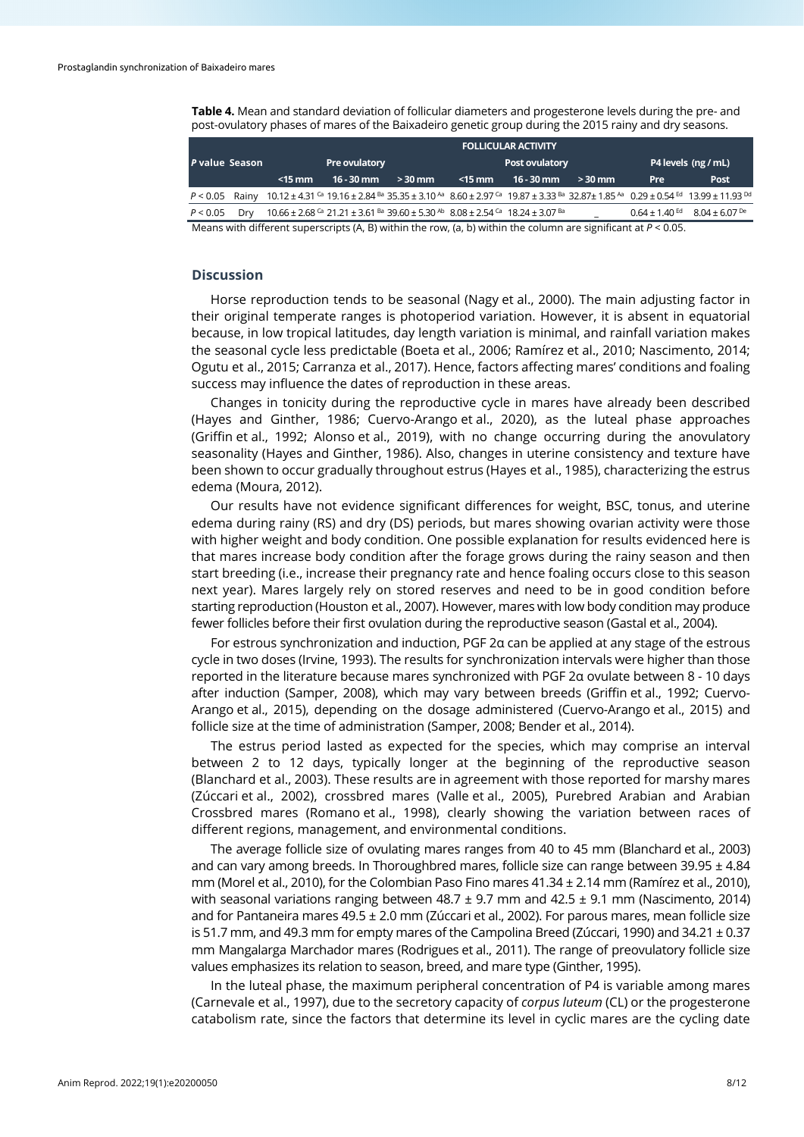**Table 4.** Mean and standard deviation of follicular diameters and progesterone levels during the pre- and post-ovulatory phases of mares of the Baixadeiro genetic group during the 2015 rainy and dry seasons.

|                                                                                                                   |     | <b>FOLLICULAR ACTIVITY</b> |              |                                                                                                                                                           |                |              |          |                     |                                                                                                                                                                                                                                    |
|-------------------------------------------------------------------------------------------------------------------|-----|----------------------------|--------------|-----------------------------------------------------------------------------------------------------------------------------------------------------------|----------------|--------------|----------|---------------------|------------------------------------------------------------------------------------------------------------------------------------------------------------------------------------------------------------------------------------|
| P value Season                                                                                                    |     | Pre ovulatory              |              |                                                                                                                                                           | Post ovulatory |              |          | P4 levels (ng / mL) |                                                                                                                                                                                                                                    |
|                                                                                                                   |     | $<$ 15 mm                  | $16 - 30$ mm | $>30$ mm                                                                                                                                                  | $<$ 15 mm      | $16 - 30$ mm | $>30$ mm | Pre                 | <b>Post</b>                                                                                                                                                                                                                        |
|                                                                                                                   |     |                            |              |                                                                                                                                                           |                |              |          |                     | P < 0.05 Rainy 10.12 ± 4.31 <sup>G</sup> 19.16 ± 2.84 <sup>Ba</sup> 35.35 ± 3.10 <sup>Aa</sup> 8.60 ± 2.97 <sup>G</sup> 19.87 ± 3.33 <sup>Ba</sup> 32.87± 1.85 <sup>Aa</sup> 0.29 ± 0.54 <sup>Ed</sup> 13.99 ± 11.93 <sup>Dd</sup> |
| P < 0.05                                                                                                          | Drv |                            |              | $10.66 \pm 2.68$ <sup>Ca</sup> 21.21 $\pm$ 3.61 <sup>Ba</sup> 39.60 $\pm$ 5.30 <sup>Ab</sup> 8.08 $\pm$ 2.54 <sup>Ca</sup> 18.24 $\pm$ 3.07 <sup>Ba</sup> |                |              |          |                     | $0.64 \pm 1.40$ <sup>Ed</sup> $8.04 \pm 6.07$ <sup>De</sup>                                                                                                                                                                        |
| Means with different superscripts (A, B) within the row, (a, b) within the column are significant at $P < 0.05$ . |     |                            |              |                                                                                                                                                           |                |              |          |                     |                                                                                                                                                                                                                                    |

# **Discussion**

Horse reproduction tends to be seasonal (Nagy et al., 2000). The main adjusting factor in their original temperate ranges is photoperiod variation. However, it is absent in equatorial because, in low tropical latitudes, day length variation is minimal, and rainfall variation makes the seasonal cycle less predictable (Boeta et al., 2006; Ramírez et al., 2010; Nascimento, 2014; Ogutu et al., 2015; Carranza et al., 2017). Hence, factors affecting mares' conditions and foaling success may influence the dates of reproduction in these areas.

Changes in tonicity during the reproductive cycle in mares have already been described (Hayes and Ginther, 1986; Cuervo-Arango et al., 2020), as the luteal phase approaches (Griffin et al., 1992; Alonso et al., 2019), with no change occurring during the anovulatory seasonality (Hayes and Ginther, 1986). Also, changes in uterine consistency and texture have been shown to occur gradually throughout estrus (Hayes et al., 1985), characterizing the estrus edema (Moura, 2012).

Our results have not evidence significant differences for weight, BSC, tonus, and uterine edema during rainy (RS) and dry (DS) periods, but mares showing ovarian activity were those with higher weight and body condition. One possible explanation for results evidenced here is that mares increase body condition after the forage grows during the rainy season and then start breeding (i.e., increase their pregnancy rate and hence foaling occurs close to this season next year). Mares largely rely on stored reserves and need to be in good condition before starting reproduction (Houston et al., 2007). However, mares with low body condition may produce fewer follicles before their first ovulation during the reproductive season (Gastal et al., 2004).

For estrous synchronization and induction, PGF 2α can be applied at any stage of the estrous cycle in two doses (Irvine, 1993). The results for synchronization intervals were higher than those reported in the literature because mares synchronized with PGF 2α ovulate between 8 - 10 days after induction (Samper, 2008), which may vary between breeds (Griffin et al., 1992; Cuervo-Arango et al., 2015), depending on the dosage administered (Cuervo-Arango et al., 2015) and follicle size at the time of administration (Samper, 2008; Bender et al., 2014).

The estrus period lasted as expected for the species, which may comprise an interval between 2 to 12 days, typically longer at the beginning of the reproductive season (Blanchard et al., 2003). These results are in agreement with those reported for marshy mares (Zúccari et al., 2002), crossbred mares (Valle et al., 2005), Purebred Arabian and Arabian Crossbred mares (Romano et al., 1998), clearly showing the variation between races of different regions, management, and environmental conditions.

The average follicle size of ovulating mares ranges from 40 to 45 mm (Blanchard et al., 2003) and can vary among breeds. In Thoroughbred mares, follicle size can range between 39.95  $\pm$  4.84 mm (Morel et al., 2010), for the Colombian Paso Fino mares 41.34 ± 2.14 mm (Ramírez et al., 2010), with seasonal variations ranging between 48.7 ± 9.7 mm and 42.5 ± 9.1 mm (Nascimento, 2014) and for Pantaneira mares 49.5 ± 2.0 mm (Zúccari et al., 2002). For parous mares, mean follicle size is 51.7 mm, and 49.3 mm for empty mares of the Campolina Breed (Zúccari, 1990) and  $34.21 \pm 0.37$ mm Mangalarga Marchador mares (Rodrigues et al., 2011). The range of preovulatory follicle size values emphasizes its relation to season, breed, and mare type (Ginther, 1995).

In the luteal phase, the maximum peripheral concentration of P4 is variable among mares (Carnevale et al., 1997), due to the secretory capacity of *corpus luteum* (CL) or the progesterone catabolism rate, since the factors that determine its level in cyclic mares are the cycling date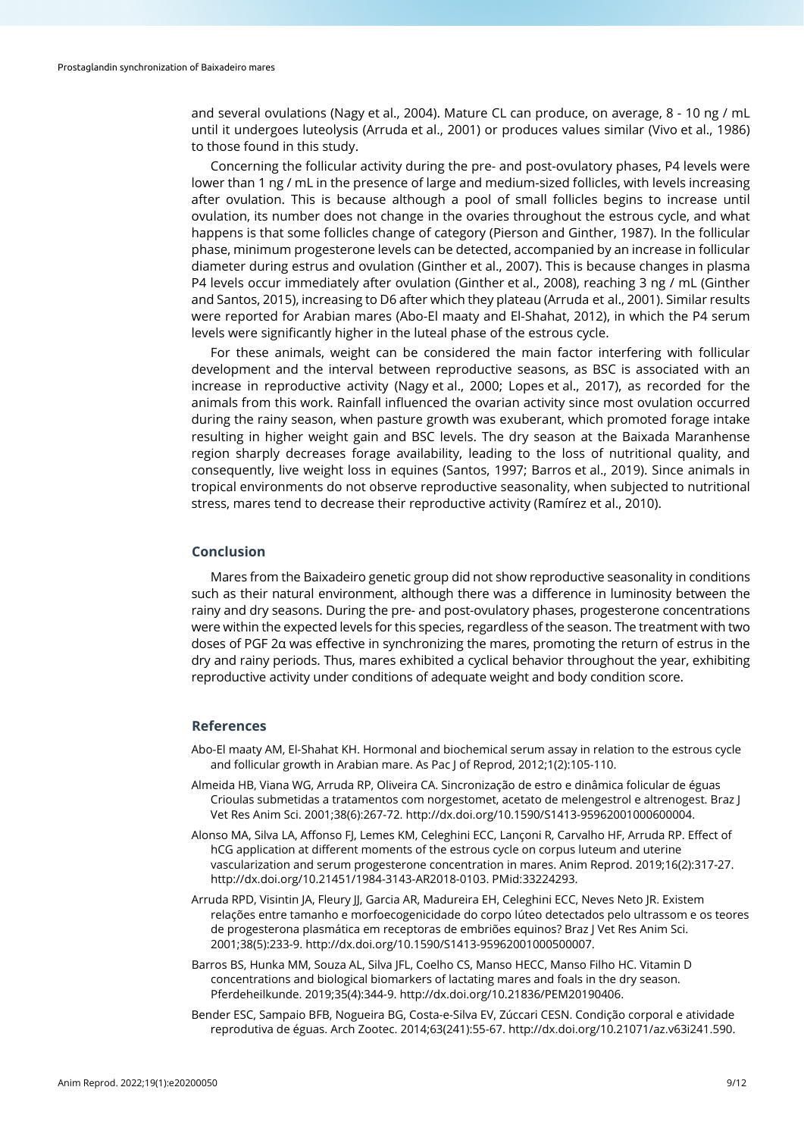and several ovulations (Nagy et al., 2004). Mature CL can produce, on average, 8 - 10 ng / mL until it undergoes luteolysis (Arruda et al., 2001) or produces values similar (Vivo et al., 1986) to those found in this study.

Concerning the follicular activity during the pre- and post-ovulatory phases, P4 levels were lower than 1 ng / mL in the presence of large and medium-sized follicles, with levels increasing after ovulation. This is because although a pool of small follicles begins to increase until ovulation, its number does not change in the ovaries throughout the estrous cycle, and what happens is that some follicles change of category (Pierson and Ginther, 1987). In the follicular phase, minimum progesterone levels can be detected, accompanied by an increase in follicular diameter during estrus and ovulation (Ginther et al., 2007). This is because changes in plasma P4 levels occur immediately after ovulation (Ginther et al., 2008), reaching 3 ng / mL (Ginther and Santos, 2015), increasing to D6 after which they plateau (Arruda et al., 2001). Similar results were reported for Arabian mares (Abo-El maaty and El-Shahat, 2012), in which the P4 serum levels were significantly higher in the luteal phase of the estrous cycle.

For these animals, weight can be considered the main factor interfering with follicular development and the interval between reproductive seasons, as BSC is associated with an increase in reproductive activity (Nagy et al., 2000; Lopes et al., 2017), as recorded for the animals from this work. Rainfall influenced the ovarian activity since most ovulation occurred during the rainy season, when pasture growth was exuberant, which promoted forage intake resulting in higher weight gain and BSC levels. The dry season at the Baixada Maranhense region sharply decreases forage availability, leading to the loss of nutritional quality, and consequently, live weight loss in equines (Santos, 1997; Barros et al., 2019). Since animals in tropical environments do not observe reproductive seasonality, when subjected to nutritional stress, mares tend to decrease their reproductive activity (Ramírez et al., 2010).

#### **Conclusion**

Mares from the Baixadeiro genetic group did not show reproductive seasonality in conditions such as their natural environment, although there was a difference in luminosity between the rainy and dry seasons. During the pre- and post-ovulatory phases, progesterone concentrations were within the expected levels for this species, regardless of the season. The treatment with two doses of PGF 2α was effective in synchronizing the mares, promoting the return of estrus in the dry and rainy periods. Thus, mares exhibited a cyclical behavior throughout the year, exhibiting reproductive activity under conditions of adequate weight and body condition score.

#### **References**

- Abo-El maaty AM, El-Shahat KH. Hormonal and biochemical serum assay in relation to the estrous cycle and follicular growth in Arabian mare. As Pac J of Reprod, 2012;1(2):105-110.
- Almeida HB, Viana WG, Arruda RP, Oliveira CA. Sincronização de estro e dinâmica folicular de éguas Crioulas submetidas a tratamentos com norgestomet, acetato de melengestrol e altrenogest. Braz J Vet Res Anim Sci. 2001;38(6):267-72[. http://dx.doi.org/10.1590/S1413-95962001000600004.](https://doi.org/10.1590/S1413-95962001000600004)
- Alonso MA, Silva LA, Affonso FJ, Lemes KM, Celeghini ECC, Lançoni R, Carvalho HF, Arruda RP. Effect of hCG application at different moments of the estrous cycle on corpus luteum and uterine vascularization and serum progesterone concentration in mares. Anim Reprod. 2019;16(2):317-27. [http://dx.doi.org/10.21451/1984-3143-AR2018-0103.](https://doi.org/10.21451/1984-3143-AR2018-0103) [PMid:33224293.](https://www.ncbi.nlm.nih.gov/entrez/query.fcgi?cmd=Retrieve&db=PubMed&list_uids=33224293&dopt=Abstract)
- Arruda RPD, Visintin JA, Fleury JJ, Garcia AR, Madureira EH, Celeghini ECC, Neves Neto JR. Existem relações entre tamanho e morfoecogenicidade do corpo lúteo detectados pelo ultrassom e os teores de progesterona plasmática em receptoras de embriões equinos? Braz J Vet Res Anim Sci. 2001;38(5):233-9[. http://dx.doi.org/10.1590/S1413-95962001000500007.](https://doi.org/10.1590/S1413-95962001000500007)
- Barros BS, Hunka MM, Souza AL, Silva JFL, Coelho CS, Manso HECC, Manso Filho HC. Vitamin D concentrations and biological biomarkers of lactating mares and foals in the dry season. Pferdeheilkunde. 2019;35(4):344-9. [http://dx.doi.org/10.21836/PEM20190406.](https://doi.org/10.21836/PEM20190406)
- Bender ESC, Sampaio BFB, Nogueira BG, Costa-e-Silva EV, Zúccari CESN. Condição corporal e atividade reprodutiva de éguas. Arch Zootec. 2014;63(241):55-67[. http://dx.doi.org/10.21071/az.v63i241.590.](https://doi.org/10.21071/az.v63i241.590)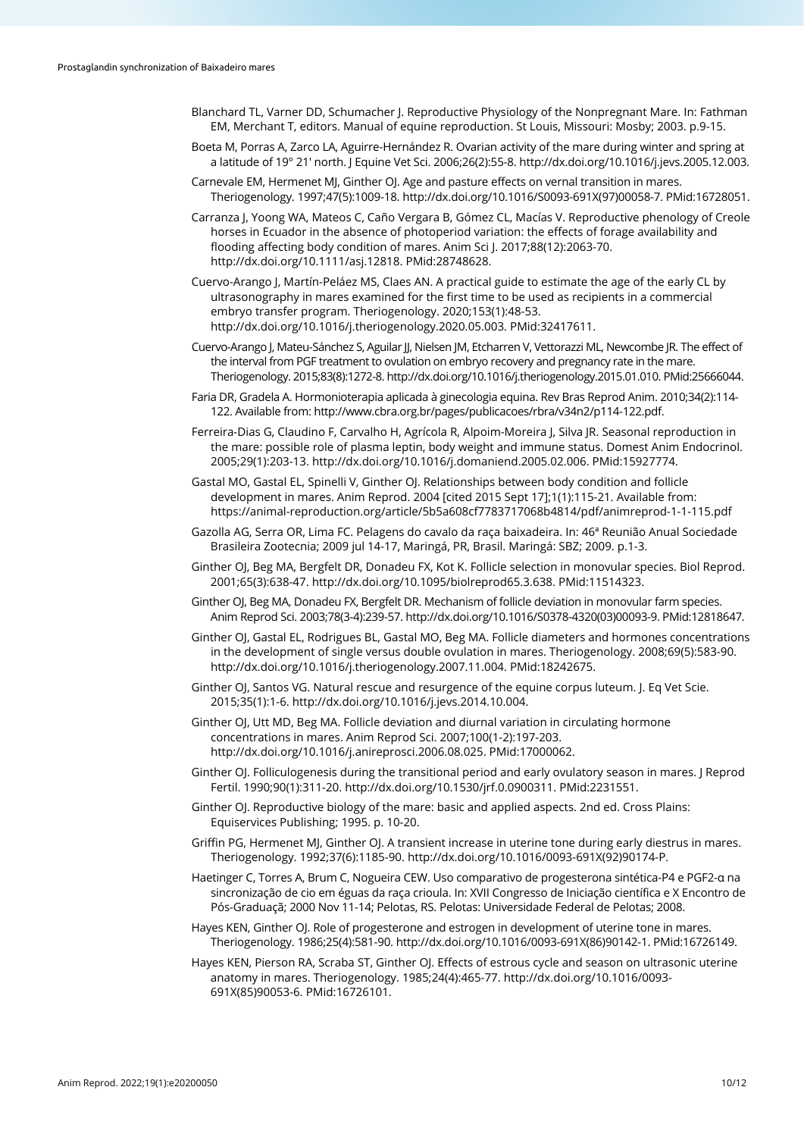- Blanchard TL, Varner DD, Schumacher J. Reproductive Physiology of the Nonpregnant Mare. In: Fathman EM, Merchant T, editors. Manual of equine reproduction. St Louis, Missouri: Mosby; 2003. p.9-15.
- Boeta M, Porras A, Zarco LA, Aguirre-Hernández R. Ovarian activity of the mare during winter and spring at a latitude of 19° 21′ north. J Equine Vet Sci. 2006;26(2):55-8[. http://dx.doi.org/10.1016/j.jevs.2005.12.003.](https://doi.org/10.1016/j.jevs.2005.12.003)
- Carnevale EM, Hermenet MJ, Ginther OJ. Age and pasture effects on vernal transition in mares. Theriogenology. 1997;47(5):1009-18[. http://dx.doi.org/10.1016/S0093-691X\(97\)00058-7.](https://doi.org/10.1016/S0093-691X(97)00058-7) [PMid:16728051.](https://www.ncbi.nlm.nih.gov/entrez/query.fcgi?cmd=Retrieve&db=PubMed&list_uids=16728051&dopt=Abstract)
- Carranza J, Yoong WA, Mateos C, Caño Vergara B, Gómez CL, Macías V. Reproductive phenology of Creole horses in Ecuador in the absence of photoperiod variation: the effects of forage availability and flooding affecting body condition of mares. Anim Sci J. 2017;88(12):2063-70. [http://dx.doi.org/10.1111/asj.12818.](https://doi.org/10.1111/asj.12818) [PMid:28748628.](https://www.ncbi.nlm.nih.gov/entrez/query.fcgi?cmd=Retrieve&db=PubMed&list_uids=28748628&dopt=Abstract)
- Cuervo-Arango J, Martín-Peláez MS, Claes AN. A practical guide to estimate the age of the early CL by ultrasonography in mares examined for the first time to be used as recipients in a commercial embryo transfer program. Theriogenology. 2020;153(1):48-53. [http://dx.doi.org/10.1016/j.theriogenology.2020.05.003.](https://doi.org/10.1016/j.theriogenology.2020.05.003) [PMid:32417611.](https://www.ncbi.nlm.nih.gov/entrez/query.fcgi?cmd=Retrieve&db=PubMed&list_uids=32417611&dopt=Abstract)
- Cuervo-Arango J, Mateu-Sánchez S, Aguilar JJ, Nielsen JM, Etcharren V, Vettorazzi ML, Newcombe JR. The effect of the interval from PGF treatment to ovulation on embryo recovery and pregnancy rate in the mare. Theriogenology. 2015;83(8):1272-8[. http://dx.doi.org/10.1016/j.theriogenology.2015.01.010.](https://doi.org/10.1016/j.theriogenology.2015.01.010) [PMid:25666044.](https://www.ncbi.nlm.nih.gov/entrez/query.fcgi?cmd=Retrieve&db=PubMed&list_uids=25666044&dopt=Abstract)
- Faria DR, Gradela A. Hormonioterapia aplicada à ginecologia equina. Rev Bras Reprod Anim. 2010;34(2):114- 122. Available from: http://www.cbra.org.br/pages/publicacoes/rbra/v34n2/p114-122.pdf.
- Ferreira-Dias G, Claudino F, Carvalho H, Agrícola R, Alpoim-Moreira J, Silva JR. Seasonal reproduction in the mare: possible role of plasma leptin, body weight and immune status. Domest Anim Endocrinol. 2005;29(1):203-13[. http://dx.doi.org/10.1016/j.domaniend.2005.02.006.](https://doi.org/10.1016/j.domaniend.2005.02.006) [PMid:15927774.](https://www.ncbi.nlm.nih.gov/entrez/query.fcgi?cmd=Retrieve&db=PubMed&list_uids=15927774&dopt=Abstract)
- Gastal MO, Gastal EL, Spinelli V, Ginther OJ. Relationships between body condition and follicle development in mares. Anim Reprod. 2004 [cited 2015 Sept 17];1(1):115-21. Available from: https://animal-reproduction.org/article/5b5a608cf7783717068b4814/pdf/animreprod-1-1-115.pdf
- Gazolla AG, Serra OR, Lima FC. Pelagens do cavalo da raça baixadeira. In: 46ª Reunião Anual Sociedade Brasileira Zootecnia; 2009 jul 14-17, Maringá, PR, Brasil. Maringá: SBZ; 2009. p.1-3.
- Ginther OJ, Beg MA, Bergfelt DR, Donadeu FX, Kot K. Follicle selection in monovular species. Biol Reprod. 2001;65(3):638-47. [http://dx.doi.org/10.1095/biolreprod65.3.638.](https://doi.org/10.1095/biolreprod65.3.638) [PMid:11514323.](https://www.ncbi.nlm.nih.gov/entrez/query.fcgi?cmd=Retrieve&db=PubMed&list_uids=11514323&dopt=Abstract)
- Ginther OJ, Beg MA, Donadeu FX, Bergfelt DR. Mechanism of follicle deviation in monovular farm species. Anim Reprod Sci. 2003;78(3-4):239-57[. http://dx.doi.org/10.1016/S0378-4320\(03\)00093-9.](https://doi.org/10.1016/S0378-4320(03)00093-9) [PMid:12818647.](https://www.ncbi.nlm.nih.gov/entrez/query.fcgi?cmd=Retrieve&db=PubMed&list_uids=12818647&dopt=Abstract)
- Ginther OJ, Gastal EL, Rodrigues BL, Gastal MO, Beg MA. Follicle diameters and hormones concentrations in the development of single versus double ovulation in mares. Theriogenology. 2008;69(5):583-90. [http://dx.doi.org/10.1016/j.theriogenology.2007.11.004.](https://doi.org/10.1016/j.theriogenology.2007.11.004) [PMid:18242675.](https://www.ncbi.nlm.nih.gov/entrez/query.fcgi?cmd=Retrieve&db=PubMed&list_uids=18242675&dopt=Abstract)
- Ginther OJ, Santos VG. Natural rescue and resurgence of the equine corpus luteum. J. Eq Vet Scie. 2015;35(1):1-6[. http://dx.doi.org/10.1016/j.jevs.2014.10.004.](https://doi.org/10.1016/j.jevs.2014.10.004)
- Ginther OJ, Utt MD, Beg MA. Follicle deviation and diurnal variation in circulating hormone concentrations in mares. Anim Reprod Sci. 2007;100(1-2):197-203. [http://dx.doi.org/10.1016/j.anireprosci.2006.08.025.](https://doi.org/10.1016/j.anireprosci.2006.08.025) [PMid:17000062.](https://www.ncbi.nlm.nih.gov/entrez/query.fcgi?cmd=Retrieve&db=PubMed&list_uids=17000062&dopt=Abstract)
- Ginther OJ. Folliculogenesis during the transitional period and early ovulatory season in mares. J Reprod Fertil. 1990;90(1):311-20[. http://dx.doi.org/10.1530/jrf.0.0900311.](https://doi.org/10.1530/jrf.0.0900311) [PMid:2231551.](https://www.ncbi.nlm.nih.gov/entrez/query.fcgi?cmd=Retrieve&db=PubMed&list_uids=2231551&dopt=Abstract)
- Ginther OJ. Reproductive biology of the mare: basic and applied aspects. 2nd ed. Cross Plains: Equiservices Publishing; 1995. p. 10-20.
- Griffin PG, Hermenet MJ, Ginther OJ. A transient increase in uterine tone during early diestrus in mares. Theriogenology. 1992;37(6):1185-90. [http://dx.doi.org/10.1016/0093-691X\(92\)90174-P.](https://doi.org/10.1016/0093-691X(92)90174-P)
- Haetinger C, Torres A, Brum C, Nogueira CEW. Uso comparativo de progesterona sintética-P4 e PGF2-α na sincronização de cio em éguas da raça crioula. In: XVII Congresso de Iniciação científica e X Encontro de Pós-Graduaçã; 2000 Nov 11-14; Pelotas, RS. Pelotas: Universidade Federal de Pelotas; 2008.
- Hayes KEN, Ginther OJ. Role of progesterone and estrogen in development of uterine tone in mares. Theriogenology. 1986;25(4):581-90[. http://dx.doi.org/10.1016/0093-691X\(86\)90142-1.](https://doi.org/10.1016/0093-691X(86)90142-1) [PMid:16726149.](https://www.ncbi.nlm.nih.gov/entrez/query.fcgi?cmd=Retrieve&db=PubMed&list_uids=16726149&dopt=Abstract)
- Hayes KEN, Pierson RA, Scraba ST, Ginther OJ. Effects of estrous cycle and season on ultrasonic uterine anatomy in mares. Theriogenology. 1985;24(4):465-77. [http://dx.doi.org/10.1016/0093-](https://doi.org/10.1016/0093-691X(85)90053-6) [691X\(85\)90053-6.](https://doi.org/10.1016/0093-691X(85)90053-6) [PMid:16726101.](https://www.ncbi.nlm.nih.gov/entrez/query.fcgi?cmd=Retrieve&db=PubMed&list_uids=16726101&dopt=Abstract)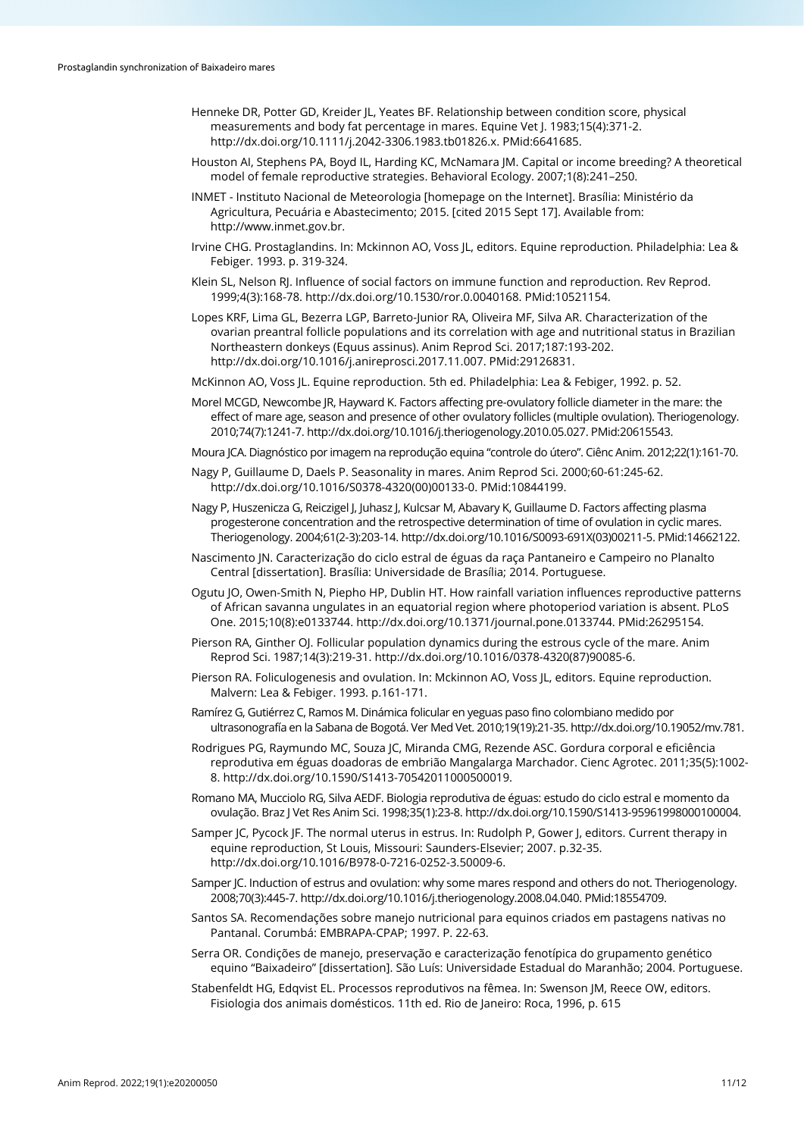- Henneke DR, Potter GD, Kreider JL, Yeates BF. Relationship between condition score, physical measurements and body fat percentage in mares. Equine Vet J. 1983;15(4):371-2. [http://dx.doi.org/10.1111/j.2042-3306.1983.tb01826.x.](https://doi.org/10.1111/j.2042-3306.1983.tb01826.x) [PMid:6641685.](https://www.ncbi.nlm.nih.gov/entrez/query.fcgi?cmd=Retrieve&db=PubMed&list_uids=6641685&dopt=Abstract)
- Houston AI, Stephens PA, Boyd IL, Harding KC, McNamara JM. Capital or income breeding? A theoretical model of female reproductive strategies. Behavioral Ecology. 2007;1(8):241–250.
- INMET Instituto Nacional de Meteorologia [homepage on the Internet]. Brasília: Ministério da Agricultura, Pecuária e Abastecimento; 2015. [cited 2015 Sept 17]. Available from: http://www.inmet.gov.br.
- Irvine CHG. Prostaglandins. In: Mckinnon AO, Voss JL, editors. Equine reproduction. Philadelphia: Lea & Febiger. 1993. p. 319-324.
- Klein SL, Nelson RJ. Influence of social factors on immune function and reproduction. Rev Reprod. 1999;4(3):168-78[. http://dx.doi.org/10.1530/ror.0.0040168.](https://doi.org/10.1530/ror.0.0040168) [PMid:10521154.](https://www.ncbi.nlm.nih.gov/entrez/query.fcgi?cmd=Retrieve&db=PubMed&list_uids=10521154&dopt=Abstract)
- Lopes KRF, Lima GL, Bezerra LGP, Barreto-Junior RA, Oliveira MF, Silva AR. Characterization of the ovarian preantral follicle populations and its correlation with age and nutritional status in Brazilian Northeastern donkeys (Equus assinus). Anim Reprod Sci. 2017;187:193-202. [http://dx.doi.org/10.1016/j.anireprosci.2017.11.007.](https://doi.org/10.1016/j.anireprosci.2017.11.007) [PMid:29126831.](https://www.ncbi.nlm.nih.gov/entrez/query.fcgi?cmd=Retrieve&db=PubMed&list_uids=29126831&dopt=Abstract)
- McKinnon AO, Voss JL. Equine reproduction. 5th ed. Philadelphia: Lea & Febiger, 1992. p. 52.
- Morel MCGD, Newcombe JR, Hayward K. Factors affecting pre-ovulatory follicle diameter in the mare: the effect of mare age, season and presence of other ovulatory follicles (multiple ovulation). Theriogenology. 2010;74(7):1241-7[. http://dx.doi.org/10.1016/j.theriogenology.2010.05.027.](https://doi.org/10.1016/j.theriogenology.2010.05.027) [PMid:20615543.](https://www.ncbi.nlm.nih.gov/entrez/query.fcgi?cmd=Retrieve&db=PubMed&list_uids=20615543&dopt=Abstract)
- Moura JCA. Diagnóstico por imagem na reprodução equina "controle do útero". Ciênc Anim. 2012;22(1):161-70.
- Nagy P, Guillaume D, Daels P. Seasonality in mares. Anim Reprod Sci. 2000;60-61:245-62. [http://dx.doi.org/10.1016/S0378-4320\(00\)00133-0.](https://doi.org/10.1016/S0378-4320(00)00133-0) [PMid:10844199.](https://www.ncbi.nlm.nih.gov/entrez/query.fcgi?cmd=Retrieve&db=PubMed&list_uids=10844199&dopt=Abstract)
- Nagy P, Huszenicza G, Reiczigel J, Juhasz J, Kulcsar M, Abavary K, Guillaume D. Factors affecting plasma progesterone concentration and the retrospective determination of time of ovulation in cyclic mares. Theriogenology. 2004;61(2-3):203-14[. http://dx.doi.org/10.1016/S0093-691X\(03\)00211-5.](https://doi.org/10.1016/S0093-691X(03)00211-5) [PMid:14662122.](https://www.ncbi.nlm.nih.gov/entrez/query.fcgi?cmd=Retrieve&db=PubMed&list_uids=14662122&dopt=Abstract)
- Nascimento JN. Caracterização do ciclo estral de éguas da raça Pantaneiro e Campeiro no Planalto Central [dissertation]. Brasília: Universidade de Brasília; 2014. Portuguese.
- Ogutu JO, Owen-Smith N, Piepho HP, Dublin HT. How rainfall variation influences reproductive patterns of African savanna ungulates in an equatorial region where photoperiod variation is absent. PLoS One. 2015;10(8):e0133744. [http://dx.doi.org/10.1371/journal.pone.0133744.](https://doi.org/10.1371/journal.pone.0133744) [PMid:26295154.](https://www.ncbi.nlm.nih.gov/entrez/query.fcgi?cmd=Retrieve&db=PubMed&list_uids=26295154&dopt=Abstract)
- Pierson RA, Ginther OJ. Follicular population dynamics during the estrous cycle of the mare. Anim Reprod Sci. 1987;14(3):219-31[. http://dx.doi.org/10.1016/0378-4320\(87\)90085-6.](https://doi.org/10.1016/0378-4320(87)90085-6)
- Pierson RA. Foliculogenesis and ovulation. In: Mckinnon AO, Voss JL, editors. Equine reproduction. Malvern: Lea & Febiger. 1993. p.161-171.
- Ramírez G, Gutiérrez C, Ramos M. Dinámica folicular en yeguas paso fino colombiano medido por ultrasonografía en la Sabana de Bogotá. Ver Med Vet. 2010;19(19):21-35[. http://dx.doi.org/10.19052/mv.781.](https://doi.org/10.19052/mv.781)
- Rodrigues PG, Raymundo MC, Souza JC, Miranda CMG, Rezende ASC. Gordura corporal e eficiência reprodutiva em éguas doadoras de embrião Mangalarga Marchador. Cienc Agrotec. 2011;35(5):1002- 8[. http://dx.doi.org/10.1590/S1413-70542011000500019.](https://doi.org/10.1590/S1413-70542011000500019)
- Romano MA, Mucciolo RG, Silva AEDF. Biologia reprodutiva de éguas: estudo do ciclo estral e momento da ovulação. Braz J Vet Res Anim Sci. 1998;35(1):23-8[. http://dx.doi.org/10.1590/S1413-95961998000100004.](https://doi.org/10.1590/S1413-95961998000100004)
- Samper JC, Pycock JF. The normal uterus in estrus. In: Rudolph P, Gower J, editors. Current therapy in equine reproduction, St Louis, Missouri: Saunders-Elsevier; 2007. p.32-35. [http://dx.doi.org/10.1016/B978-0-7216-0252-3.50009-6.](https://doi.org/10.1016/B978-0-7216-0252-3.50009-6)
- Samper JC. Induction of estrus and ovulation: why some mares respond and others do not. Theriogenology. 2008;70(3):445-7[. http://dx.doi.org/10.1016/j.theriogenology.2008.04.040.](https://doi.org/10.1016/j.theriogenology.2008.04.040) [PMid:18554709.](https://www.ncbi.nlm.nih.gov/entrez/query.fcgi?cmd=Retrieve&db=PubMed&list_uids=18554709&dopt=Abstract)
- Santos SA. Recomendações sobre manejo nutricional para equinos criados em pastagens nativas no Pantanal. Corumbá: EMBRAPA-CPAP; 1997. P. 22-63.
- Serra OR. Condições de manejo, preservação e caracterização fenotípica do grupamento genético equino "Baixadeiro" [dissertation]. São Luís: Universidade Estadual do Maranhão; 2004. Portuguese.
- Stabenfeldt HG, Edqvist EL. Processos reprodutivos na fêmea. In: Swenson JM, Reece OW, editors. Fisiologia dos animais domésticos. 11th ed. Rio de Janeiro: Roca, 1996, p. 615